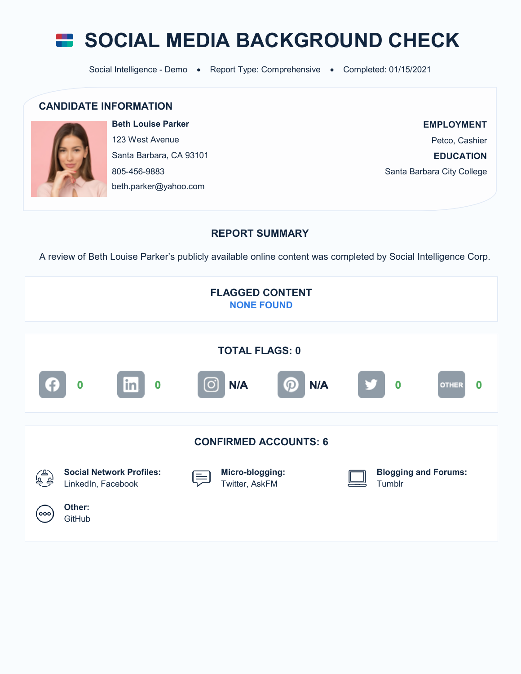# **E** SOCIAL MEDIA BACKGROUND CHECK

Social Intelligence - Demo · Report Type: Comprehensive · Completed: 01/15/2021

# **CANDIDATE INFORMATION**

**Beth Louise Parker EMPLOYMENT** 123 West Avenue **Petco, Cashier** Petco, Cashier Santa Barbara, CA 93101 **EDUCATION** 805-456-9883 Santa Barbara City College beth.parker@yahoo.com

## **REPORT SUMMARY**

A review of Beth Louise Parker's publicly available online content was completed by Social Intelligence Corp.

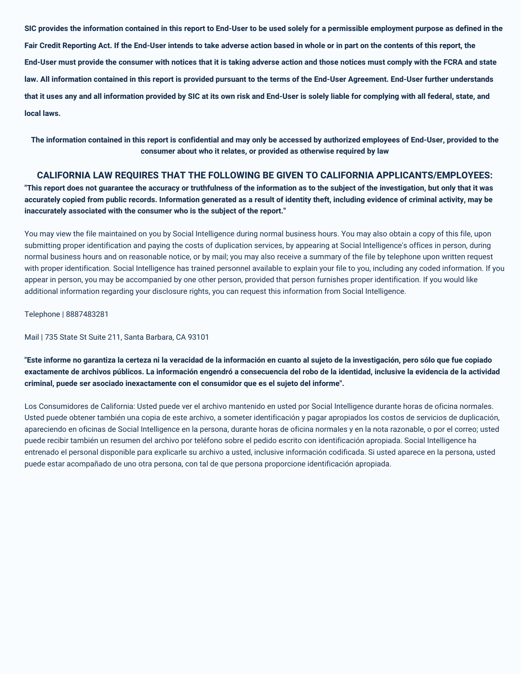**SIC provides the information contained in this report to End-User to be used solely for a permissible employment purpose as defined in the Fair Credit Reporting Act. If the End-User intends to take adverse action based in whole or in part on the contents of this report, the End-User must provide the consumer with notices that it is taking adverse action and those notices must comply with the FCRA and state law. All information contained in this report is provided pursuant to the terms of the End-User Agreement. End-User further understands that it uses any and all information provided by SIC at its own risk and End-User is solely liable for complying with all federal, state, and local laws.**

**The information contained in this report is confidential and may only be accessed by authorized employees of End-User, provided to the consumer about who it relates, or provided as otherwise required by law**

#### **CALIFORNIA LAW REQUIRES THAT THE FOLLOWING BE GIVEN TO CALIFORNIA APPLICANTS/EMPLOYEES:**

**"This report does not guarantee the accuracy or truthfulness of the information as to the subject of the investigation, but only that it was accurately copied from public records. Information generated as a result of identity theft, including evidence of criminal activity, may be inaccurately associated with the consumer who is the subject of the report."**

You may view the file maintained on you by Social Intelligence during normal business hours. You may also obtain a copy of this file, upon submitting proper identification and paying the costs of duplication services, by appearing at Social Intelligence's offices in person, during normal business hours and on reasonable notice, or by mail; you may also receive a summary of the file by telephone upon written request with proper identification. Social Intelligence has trained personnel available to explain your file to you, including any coded information. If you appear in person, you may be accompanied by one other person, provided that person furnishes proper identification. If you would like additional information regarding your disclosure rights, you can request this information from Social Intelligence.

Telephone | 8887483281

Mail | 735 State St Suite 211, Santa Barbara, CA 93101

**"Este informe no garantiza la certeza ni la veracidad de la información en cuanto al sujeto de la investigación, pero sólo que fue copiado exactamente de archivos públicos. La información engendró a consecuencia del robo de la identidad, inclusive la evidencia de la actividad criminal, puede ser asociado inexactamente con el consumidor que es el sujeto del informe".**

Los Consumidores de California: Usted puede ver el archivo mantenido en usted por Social Intelligence durante horas de oficina normales. Usted puede obtener también una copia de este archivo, a someter identificación y pagar apropiados los costos de servicios de duplicación, apareciendo en oficinas de Social Intelligence en la persona, durante horas de oficina normales y en la nota razonable, o por el correo; usted puede recibir también un resumen del archivo por teléfono sobre el pedido escrito con identificación apropiada. Social Intelligence ha entrenado el personal disponible para explicarle su archivo a usted, inclusive información codificada. Si usted aparece en la persona, usted puede estar acompañado de uno otra persona, con tal de que persona proporcione identificación apropiada.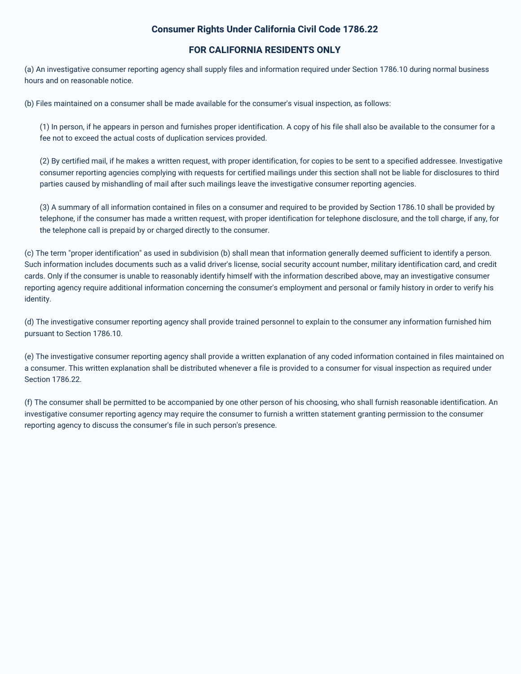# **Consumer Rights Under California Civil Code 1786.22**

## **FOR CALIFORNIA RESIDENTS ONLY**

(a) An investigative consumer reporting agency shall supply files and information required under Section 1786.10 during normal business hours and on reasonable notice.

(b) Files maintained on a consumer shall be made available for the consumer's visual inspection, as follows:

(1) In person, if he appears in person and furnishes proper identification. A copy of his file shall also be available to the consumer for a fee not to exceed the actual costs of duplication services provided.

(2) By certified mail, if he makes a written request, with proper identification, for copies to be sent to a specified addressee. Investigative consumer reporting agencies complying with requests for certified mailings under this section shall not be liable for disclosures to third parties caused by mishandling of mail after such mailings leave the investigative consumer reporting agencies.

(3) A summary of all information contained in files on a consumer and required to be provided by Section 1786.10 shall be provided by telephone, if the consumer has made a written request, with proper identification for telephone disclosure, and the toll charge, if any, for the telephone call is prepaid by or charged directly to the consumer.

(c) The term "proper identification" as used in subdivision (b) shall mean that information generally deemed sufficient to identify a person. Such information includes documents such as a valid driver's license, social security account number, military identification card, and credit cards. Only if the consumer is unable to reasonably identify himself with the information described above, may an investigative consumer reporting agency require additional information concerning the consumer's employment and personal or family history in order to verify his identity.

(d) The investigative consumer reporting agency shall provide trained personnel to explain to the consumer any information furnished him pursuant to Section 1786.10.

(e) The investigative consumer reporting agency shall provide a written explanation of any coded information contained in files maintained on a consumer. This written explanation shall be distributed whenever a file is provided to a consumer for visual inspection as required under Section 1786.22.

(f) The consumer shall be permitted to be accompanied by one other person of his choosing, who shall furnish reasonable identification. An investigative consumer reporting agency may require the consumer to furnish a written statement granting permission to the consumer reporting agency to discuss the consumer's file in such person's presence.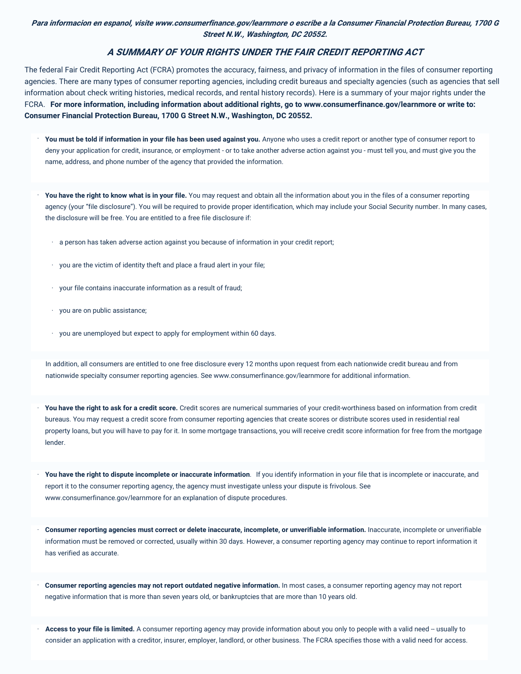#### **Para informacion en espanol, visite www.consumerfinance.gov/learnmore o escribe a la Consumer Financial Protection Bureau, 1700 G Street N.W., Washington, DC 20552.**

#### **A SUMMARY OF YOUR RIGHTS UNDER THE FAIR CREDIT REPORTING ACT**

The federal Fair Credit Reporting Act (FCRA) promotes the accuracy, fairness, and privacy of information in the files of consumer reporting agencies. There are many types of consumer reporting agencies, including credit bureaus and specialty agencies (such as agencies that sell information about check writing histories, medical records, and rental history records). Here is a summary of your major rights under the FCRA. **For more information, including information about additional rights, go to www.consumerfinance.gov/learnmore or write to: Consumer Financial Protection Bureau, 1700 G Street N.W., Washington, DC 20552.** 

- · **You must be told if information in your file has been used against you.** Anyone who uses a credit report or another type of consumer report to deny your application for credit, insurance, or employment - or to take another adverse action against you - must tell you, and must give you the name, address, and phone number of the agency that provided the information.
- You have the right to know what is in your file. You may request and obtain all the information about you in the files of a consumer reporting agency (your "file disclosure"). You will be required to provide proper identification, which may include your Social Security number. In many cases, the disclosure will be free. You are entitled to a free file disclosure if:
	- · a person has taken adverse action against you because of information in your credit report;
	- · you are the victim of identity theft and place a fraud alert in your file;
	- · your file contains inaccurate information as a result of fraud;
	- · you are on public assistance;
	- · you are unemployed but expect to apply for employment within 60 days.

In addition, all consumers are entitled to one free disclosure every 12 months upon request from each nationwide credit bureau and from nationwide specialty consumer reporting agencies. See www.consumerfinance.gov/learnmore for additional information.

- · **You have the right to ask for a credit score.** Credit scores are numerical summaries of your credit-worthiness based on information from credit bureaus. You may request a credit score from consumer reporting agencies that create scores or distribute scores used in residential real property loans, but you will have to pay for it. In some mortgage transactions, you will receive credit score information for free from the mortgage lender.
- · **You have the right to dispute incomplete or inaccurate information**. If you identify information in your file that is incomplete or inaccurate, and report it to the consumer reporting agency, the agency must investigate unless your dispute is frivolous. See www.consumerfinance.gov/learnmore for an explanation of dispute procedures.
- · **Consumer reporting agencies must correct or delete inaccurate, incomplete, or unverifiable information.** Inaccurate, incomplete or unverifiable information must be removed or corrected, usually within 30 days. However, a consumer reporting agency may continue to report information it has verified as accurate.
- · **Consumer reporting agencies may not report outdated negative information.** In most cases, a consumer reporting agency may not report negative information that is more than seven years old, or bankruptcies that are more than 10 years old.
- Access to your file is limited. A consumer reporting agency may provide information about you only to people with a valid need -- usually to consider an application with a creditor, insurer, employer, landlord, or other business. The FCRA specifies those with a valid need for access.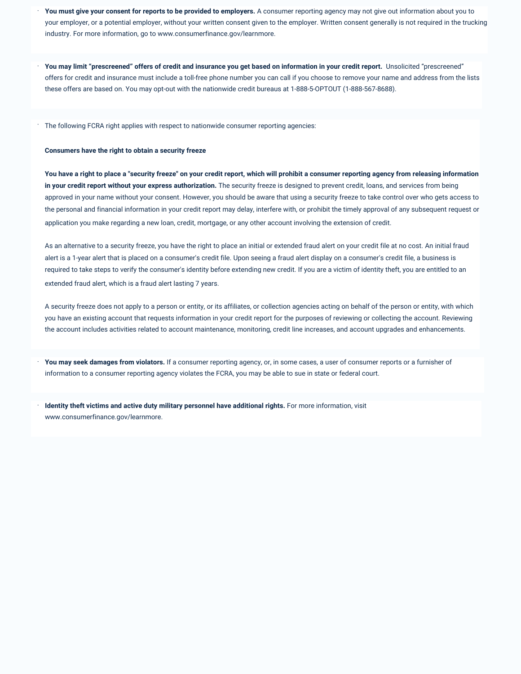- · **You must give your consent for reports to be provided to employers.** A consumer reporting agency may not give out information about you to your employer, or a potential employer, without your written consent given to the employer. Written consent generally is not required in the trucking industry. For more information, go to www.consumerfinance.gov/learnmore.
- You may limit "prescreened" offers of credit and insurance you get based on information in your credit report. Unsolicited "prescreened" offers for credit and insurance must include a toll-free phone number you can call if you choose to remove your name and address from the lists these offers are based on. You may opt-out with the nationwide credit bureaus at 1-888-5-OPTOUT (1-888-567-8688).
- The following FCRA right applies with respect to nationwide consumer reporting agencies:

#### **Consumers have the right to obtain a security freeze**

**You have a right to place a "security freeze" on your credit report, which will prohibit a consumer reporting agency from releasing information in your credit report without your express authorization.** The security freeze is designed to prevent credit, loans, and services from being approved in your name without your consent. However, you should be aware that using a security freeze to take control over who gets access to the personal and financial information in your credit report may delay, interfere with, or prohibit the timely approval of any subsequent request or application you make regarding a new loan, credit, mortgage, or any other account involving the extension of credit.

As an alternative to a security freeze, you have the right to place an initial or extended fraud alert on your credit file at no cost. An initial fraud alert is a 1-year alert that is placed on a consumer's credit file. Upon seeing a fraud alert display on a consumer's credit file, a business is required to take steps to verify the consumer's identity before extending new credit. If you are a victim of identity theft, you are entitled to an extended fraud alert, which is a fraud alert lasting 7 years.

A security freeze does not apply to a person or entity, or its affiliates, or collection agencies acting on behalf of the person or entity, with which you have an existing account that requests information in your credit report for the purposes of reviewing or collecting the account. Reviewing the account includes activities related to account maintenance, monitoring, credit line increases, and account upgrades and enhancements.

- · **You may seek damages from violators.** If a consumer reporting agency, or, in some cases, a user of consumer reports or a furnisher of information to a consumer reporting agency violates the FCRA, you may be able to sue in state or federal court.
- · **Identity theft victims and active duty military personnel have additional rights.** For more information, visit www.consumerfinance.gov/learnmore.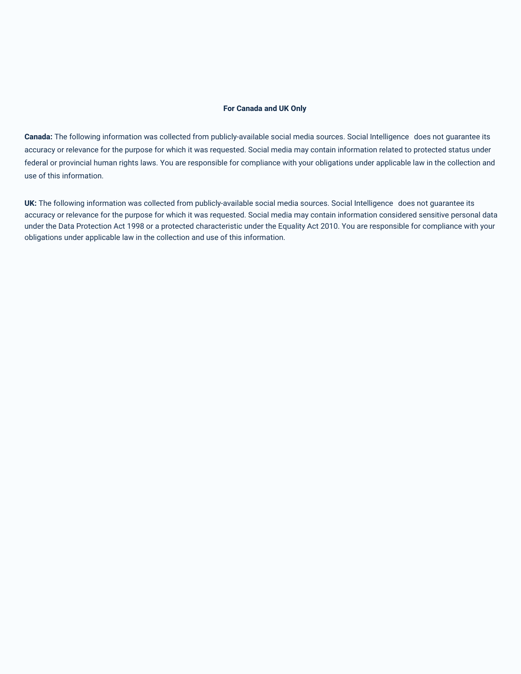#### **For Canada and UK Only**

**Canada:** The following information was collected from publicly-available social media sources. Social Intelligence does not guarantee its accuracy or relevance for the purpose for which it was requested. Social media may contain information related to protected status under federal or provincial human rights laws. You are responsible for compliance with your obligations under applicable law in the collection and use of this information.

UK: The following information was collected from publicly-available social media sources. Social Intelligence does not guarantee its accuracy or relevance for the purpose for which it was requested. Social media may contain information considered sensitive personal data under the Data Protection Act 1998 or a protected characteristic under the Equality Act 2010. You are responsible for compliance with your obligations under applicable law in the collection and use of this information.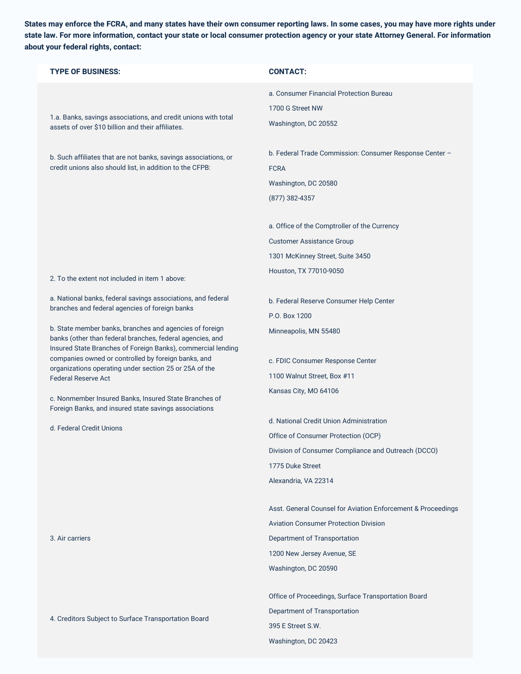**States may enforce the FCRA, and many states have their own consumer reporting laws. In some cases, you may have more rights under state law. For more information, contact your state or local consumer protection agency or your state Attorney General. For information about your federal rights, contact:**

| <b>TYPE OF BUSINESS:</b>                                                                                                                    | <b>CONTACT:</b>                                              |
|---------------------------------------------------------------------------------------------------------------------------------------------|--------------------------------------------------------------|
|                                                                                                                                             | a. Consumer Financial Protection Bureau                      |
|                                                                                                                                             | 1700 G Street NW                                             |
| 1.a. Banks, savings associations, and credit unions with total<br>assets of over \$10 billion and their affiliates.                         | Washington, DC 20552                                         |
|                                                                                                                                             |                                                              |
| b. Such affiliates that are not banks, savings associations, or<br>credit unions also should list, in addition to the CFPB:                 | b. Federal Trade Commission: Consumer Response Center -      |
|                                                                                                                                             | <b>FCRA</b>                                                  |
|                                                                                                                                             | Washington, DC 20580                                         |
|                                                                                                                                             | (877) 382-4357                                               |
|                                                                                                                                             | a. Office of the Comptroller of the Currency                 |
|                                                                                                                                             | <b>Customer Assistance Group</b>                             |
|                                                                                                                                             | 1301 McKinney Street, Suite 3450                             |
|                                                                                                                                             | Houston, TX 77010-9050                                       |
| 2. To the extent not included in item 1 above:                                                                                              |                                                              |
| a. National banks, federal savings associations, and federal<br>branches and federal agencies of foreign banks                              | b. Federal Reserve Consumer Help Center                      |
|                                                                                                                                             | P.O. Box 1200                                                |
| b. State member banks, branches and agencies of foreign<br>banks (other than federal branches, federal agencies, and                        | Minneapolis, MN 55480                                        |
| Insured State Branches of Foreign Banks), commercial lending                                                                                |                                                              |
| companies owned or controlled by foreign banks, and<br>organizations operating under section 25 or 25A of the<br><b>Federal Reserve Act</b> | c. FDIC Consumer Response Center                             |
|                                                                                                                                             | 1100 Walnut Street, Box #11                                  |
| c. Nonmember Insured Banks, Insured State Branches of<br>Foreign Banks, and insured state savings associations                              | Kansas City, MO 64106                                        |
|                                                                                                                                             |                                                              |
| d. Federal Credit Unions                                                                                                                    | d. National Credit Union Administration                      |
|                                                                                                                                             | Office of Consumer Protection (OCP)                          |
|                                                                                                                                             | Division of Consumer Compliance and Outreach (DCCO)          |
|                                                                                                                                             | 1775 Duke Street                                             |
|                                                                                                                                             | Alexandria, VA 22314                                         |
|                                                                                                                                             | Asst. General Counsel for Aviation Enforcement & Proceedings |
|                                                                                                                                             | <b>Aviation Consumer Protection Division</b>                 |
| 3. Air carriers                                                                                                                             | Department of Transportation                                 |
|                                                                                                                                             | 1200 New Jersey Avenue, SE                                   |
|                                                                                                                                             | Washington, DC 20590                                         |
|                                                                                                                                             | Office of Proceedings, Surface Transportation Board          |
|                                                                                                                                             | Department of Transportation                                 |
| 4. Creditors Subject to Surface Transportation Board                                                                                        |                                                              |

395 E Street S.W.

Washington, DC 20423